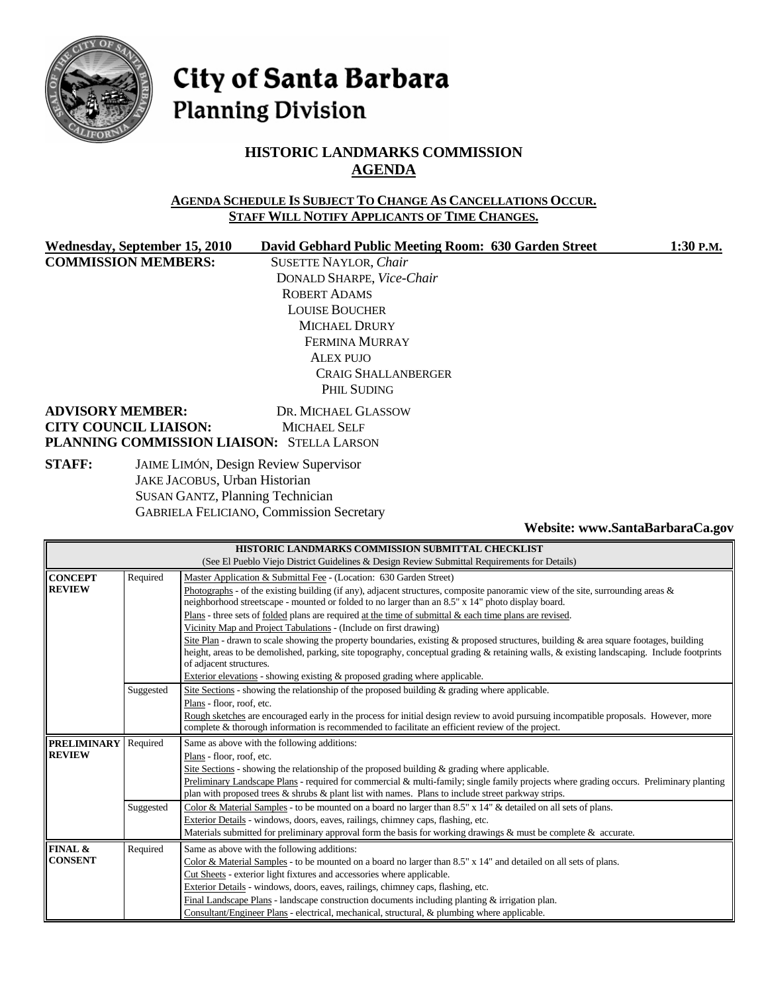

# City of Santa Barbara **Planning Division**

# **HISTORIC LANDMARKS COMMISSION AGENDA**

#### **AGENDA SCHEDULE IS SUBJECT TO CHANGE AS CANCELLATIONS OCCUR. STAFF WILL NOTIFY APPLICANTS OF TIME CHANGES.**

**COMMISSION MEMBERS:** SUSETTE NAYLOR, *Chair*

Wednesday, September 15, 2010 David Gebhard Public Meeting Room: 630 Garden Street 1:30 P.M. DONALD SHARPE, *Vice-Chair* ROBERT ADAMS LOUISE BOUCHER MICHAEL DRURY FERMINA MURRAY ALEX PUJO CRAIG SHALLANBERGER PHIL SUDING

### **ADVISORY MEMBER:** DR. MICHAEL GLASSOW **CITY COUNCIL LIAISON:** MICHAEL SELF **PLANNING COMMISSION LIAISON:** STELLA LARSON

**STAFF:** JAIME LIMÓN, Design Review Supervisor JAKE JACOBUS, Urban Historian SUSAN GANTZ, Planning Technician GABRIELA FELICIANO, Commission Secretary

**Website: www.SantaBarbaraCa.gov** 

| HISTORIC LANDMARKS COMMISSION SUBMITTAL CHECKLIST |                                                                                              |                                                                                                                                            |  |  |  |
|---------------------------------------------------|----------------------------------------------------------------------------------------------|--------------------------------------------------------------------------------------------------------------------------------------------|--|--|--|
|                                                   | (See El Pueblo Viejo District Guidelines & Design Review Submittal Requirements for Details) |                                                                                                                                            |  |  |  |
| <b>CONCEPT</b>                                    | Required                                                                                     | Master Application & Submittal Fee - (Location: 630 Garden Street)                                                                         |  |  |  |
| <b>REVIEW</b>                                     |                                                                                              | Photographs - of the existing building (if any), adjacent structures, composite panoramic view of the site, surrounding areas $\&$         |  |  |  |
|                                                   |                                                                                              | neighborhood streetscape - mounted or folded to no larger than an 8.5" x 14" photo display board.                                          |  |  |  |
|                                                   |                                                                                              | Plans - three sets of folded plans are required at the time of submittal $\&$ each time plans are revised.                                 |  |  |  |
|                                                   |                                                                                              | Vicinity Map and Project Tabulations - (Include on first drawing)                                                                          |  |  |  |
|                                                   |                                                                                              | Site Plan - drawn to scale showing the property boundaries, existing & proposed structures, building & area square footages, building      |  |  |  |
|                                                   |                                                                                              | height, areas to be demolished, parking, site topography, conceptual grading & retaining walls, & existing landscaping. Include footprints |  |  |  |
|                                                   |                                                                                              | of adjacent structures.                                                                                                                    |  |  |  |
|                                                   |                                                                                              | Exterior elevations - showing existing & proposed grading where applicable.                                                                |  |  |  |
|                                                   | Suggested                                                                                    | Site Sections - showing the relationship of the proposed building $\&$ grading where applicable.                                           |  |  |  |
|                                                   |                                                                                              | Plans - floor, roof, etc.                                                                                                                  |  |  |  |
|                                                   |                                                                                              | Rough sketches are encouraged early in the process for initial design review to avoid pursuing incompatible proposals. However, more       |  |  |  |
|                                                   |                                                                                              | complete & thorough information is recommended to facilitate an efficient review of the project.                                           |  |  |  |
| <b>PRELIMINARY</b>                                | Required                                                                                     | Same as above with the following additions:                                                                                                |  |  |  |
| <b>REVIEW</b>                                     |                                                                                              | Plans - floor, roof, etc.                                                                                                                  |  |  |  |
|                                                   |                                                                                              | Site Sections - showing the relationship of the proposed building $\&$ grading where applicable.                                           |  |  |  |
|                                                   |                                                                                              | Preliminary Landscape Plans - required for commercial & multi-family; single family projects where grading occurs. Preliminary planting    |  |  |  |
|                                                   |                                                                                              | plan with proposed trees $\&$ shrubs $\&$ plant list with names. Plans to include street parkway strips.                                   |  |  |  |
|                                                   | Suggested                                                                                    | Color & Material Samples - to be mounted on a board no larger than 8.5" x 14" & detailed on all sets of plans.                             |  |  |  |
|                                                   |                                                                                              | Exterior Details - windows, doors, eaves, railings, chimney caps, flashing, etc.                                                           |  |  |  |
|                                                   |                                                                                              | Materials submitted for preliminary approval form the basis for working drawings & must be complete & accurate.                            |  |  |  |
| FINAL &                                           | Required                                                                                     | Same as above with the following additions:                                                                                                |  |  |  |
| <b>CONSENT</b>                                    |                                                                                              | Color & Material Samples - to be mounted on a board no larger than 8.5" x 14" and detailed on all sets of plans.                           |  |  |  |
|                                                   |                                                                                              | Cut Sheets - exterior light fixtures and accessories where applicable.                                                                     |  |  |  |
|                                                   |                                                                                              | Exterior Details - windows, doors, eaves, railings, chimney caps, flashing, etc.                                                           |  |  |  |
|                                                   |                                                                                              | Final Landscape Plans - landscape construction documents including planting $&$ irrigation plan.                                           |  |  |  |
|                                                   |                                                                                              | Consultant/Engineer Plans - electrical, mechanical, structural, & plumbing where applicable.                                               |  |  |  |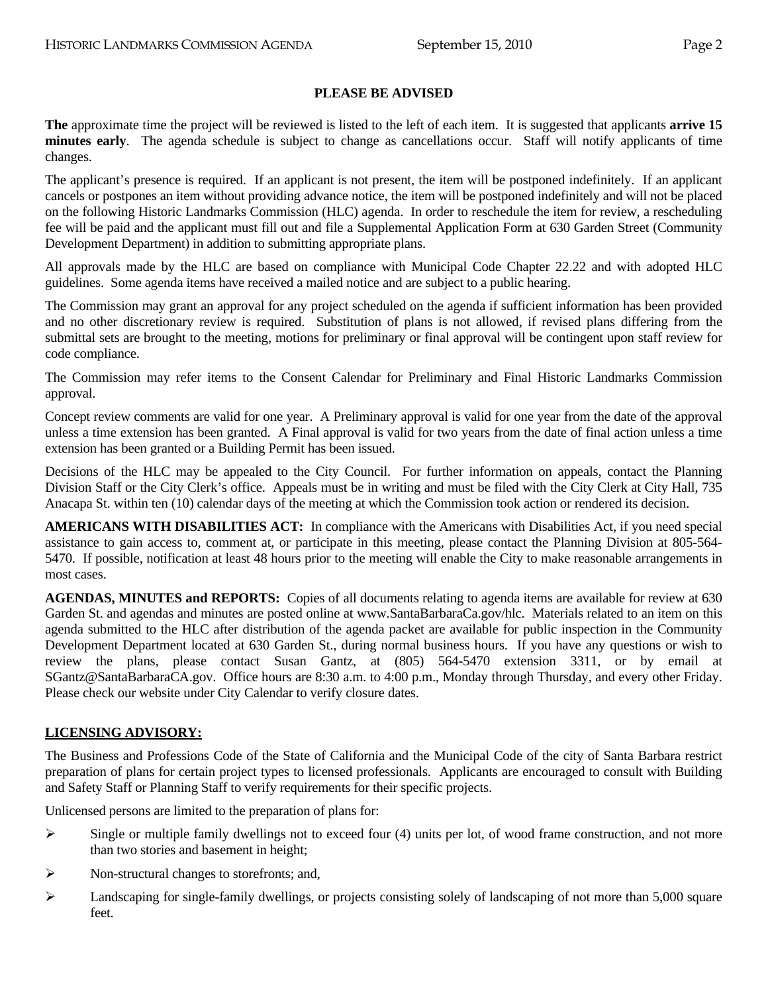### **PLEASE BE ADVISED**

**The** approximate time the project will be reviewed is listed to the left of each item. It is suggested that applicants **arrive 15 minutes early**. The agenda schedule is subject to change as cancellations occur. Staff will notify applicants of time changes.

The applicant's presence is required. If an applicant is not present, the item will be postponed indefinitely. If an applicant cancels or postpones an item without providing advance notice, the item will be postponed indefinitely and will not be placed on the following Historic Landmarks Commission (HLC) agenda. In order to reschedule the item for review, a rescheduling fee will be paid and the applicant must fill out and file a Supplemental Application Form at 630 Garden Street (Community Development Department) in addition to submitting appropriate plans.

All approvals made by the HLC are based on compliance with Municipal Code Chapter 22.22 and with adopted HLC guidelines. Some agenda items have received a mailed notice and are subject to a public hearing.

The Commission may grant an approval for any project scheduled on the agenda if sufficient information has been provided and no other discretionary review is required. Substitution of plans is not allowed, if revised plans differing from the submittal sets are brought to the meeting, motions for preliminary or final approval will be contingent upon staff review for code compliance.

The Commission may refer items to the Consent Calendar for Preliminary and Final Historic Landmarks Commission approval.

Concept review comments are valid for one year. A Preliminary approval is valid for one year from the date of the approval unless a time extension has been granted. A Final approval is valid for two years from the date of final action unless a time extension has been granted or a Building Permit has been issued.

Decisions of the HLC may be appealed to the City Council. For further information on appeals, contact the Planning Division Staff or the City Clerk's office. Appeals must be in writing and must be filed with the City Clerk at City Hall, 735 Anacapa St. within ten (10) calendar days of the meeting at which the Commission took action or rendered its decision.

**AMERICANS WITH DISABILITIES ACT:** In compliance with the Americans with Disabilities Act, if you need special assistance to gain access to, comment at, or participate in this meeting, please contact the Planning Division at 805-564- 5470. If possible, notification at least 48 hours prior to the meeting will enable the City to make reasonable arrangements in most cases.

**AGENDAS, MINUTES and REPORTS:** Copies of all documents relating to agenda items are available for review at 630 Garden St. and agendas and minutes are posted online at www.SantaBarbaraCa.gov/hlc. Materials related to an item on this agenda submitted to the HLC after distribution of the agenda packet are available for public inspection in the Community Development Department located at 630 Garden St., during normal business hours. If you have any questions or wish to review the plans, please contact Susan Gantz, at (805) 564-5470 extension 3311, or by email at SGantz@SantaBarbaraCA.gov. Office hours are 8:30 a.m. to 4:00 p.m., Monday through Thursday, and every other Friday. Please check our website under City Calendar to verify closure dates.

# **LICENSING ADVISORY:**

The Business and Professions Code of the State of California and the Municipal Code of the city of Santa Barbara restrict preparation of plans for certain project types to licensed professionals. Applicants are encouraged to consult with Building and Safety Staff or Planning Staff to verify requirements for their specific projects.

Unlicensed persons are limited to the preparation of plans for:

- $\triangleright$  Single or multiple family dwellings not to exceed four (4) units per lot, of wood frame construction, and not more than two stories and basement in height;
- $\triangleright$  Non-structural changes to storefronts; and,
- $\blacktriangleright$  Landscaping for single-family dwellings, or projects consisting solely of landscaping of not more than 5,000 square feet.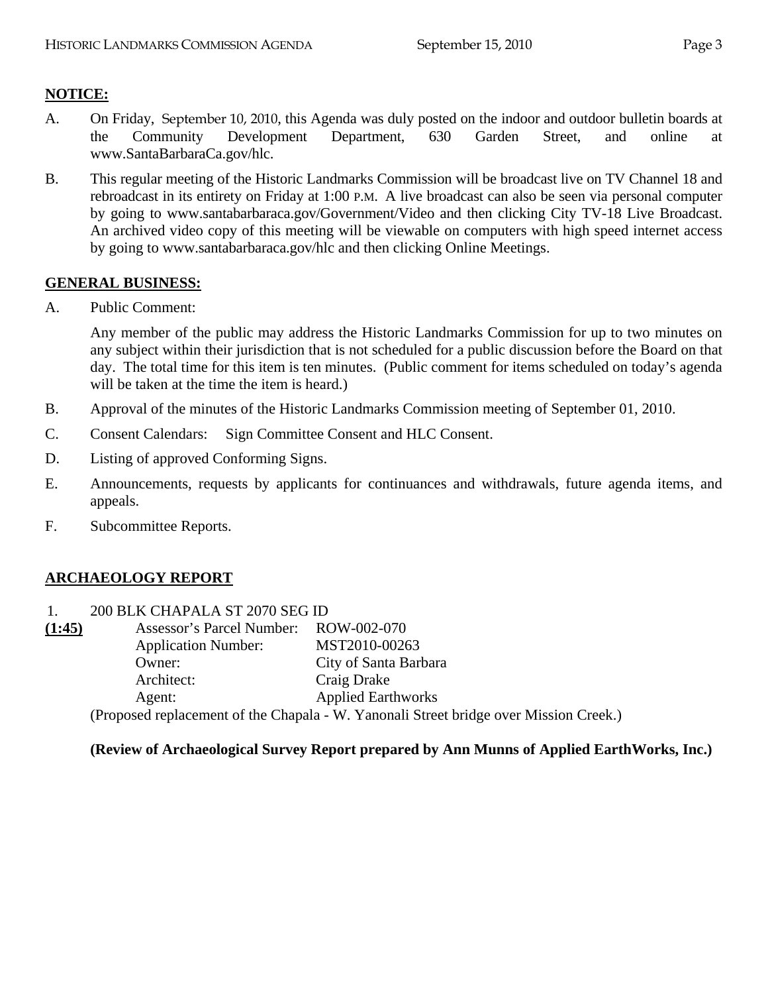# **NOTICE:**

- A. On Friday, September 10, 2010, this Agenda was duly posted on the indoor and outdoor bulletin boards at the Community Development Department, 630 Garden Street, and online at www.SantaBarbaraCa.gov/hlc.
- B. This regular meeting of the Historic Landmarks Commission will be broadcast live on TV Channel 18 and rebroadcast in its entirety on Friday at 1:00 P.M. A live broadcast can also be seen via personal computer by going to www.santabarbaraca.gov/Government/Video and then clicking City TV-18 Live Broadcast. An archived video copy of this meeting will be viewable on computers with high speed internet access by going to www.santabarbaraca.gov/hlc and then clicking Online Meetings.

# **GENERAL BUSINESS:**

A. Public Comment:

Any member of the public may address the Historic Landmarks Commission for up to two minutes on any subject within their jurisdiction that is not scheduled for a public discussion before the Board on that day. The total time for this item is ten minutes. (Public comment for items scheduled on today's agenda will be taken at the time the item is heard.)

- B. Approval of the minutes of the Historic Landmarks Commission meeting of September 01, 2010.
- C. Consent Calendars: Sign Committee Consent and HLC Consent.
- D. Listing of approved Conforming Signs.

 $1.00 \text{ P}$   $\frac{1}{2}$   $\frac{1}{2}$   $\frac{1}{2}$   $\frac{1}{2}$   $\frac{1}{2}$   $\frac{1}{2}$   $\frac{1}{2}$   $\frac{1}{2}$   $\frac{1}{2}$   $\frac{1}{2}$   $\frac{1}{2}$   $\frac{1}{2}$   $\frac{1}{2}$   $\frac{1}{2}$   $\frac{1}{2}$   $\frac{1}{2}$   $\frac{1}{2}$   $\frac{1}{2}$   $\frac{1}{2}$   $\frac{1}{2}$   $\frac{1}{2}$ 

- E. Announcements, requests by applicants for continuances and withdrawals, future agenda items, and appeals.
- F. Subcommittee Reports.

# **ARCHAEOLOGY REPORT**

| <b>Application Number:</b> | MST2010-00263                                                                         |
|----------------------------|---------------------------------------------------------------------------------------|
| Owner:                     | City of Santa Barbara                                                                 |
| Architect:                 | Craig Drake                                                                           |
| Agent:                     | <b>Applied Earthworks</b>                                                             |
|                            | (Proposed replacement of the Chapala - W. Yanonali Street bridge over Mission Creek.) |
|                            | 200 BLK CHAPALA ST 2070 SEG ID<br>Assessor's Parcel Number: ROW-002-070               |

### **(Review of Archaeological Survey Report prepared by Ann Munns of Applied EarthWorks, Inc.)**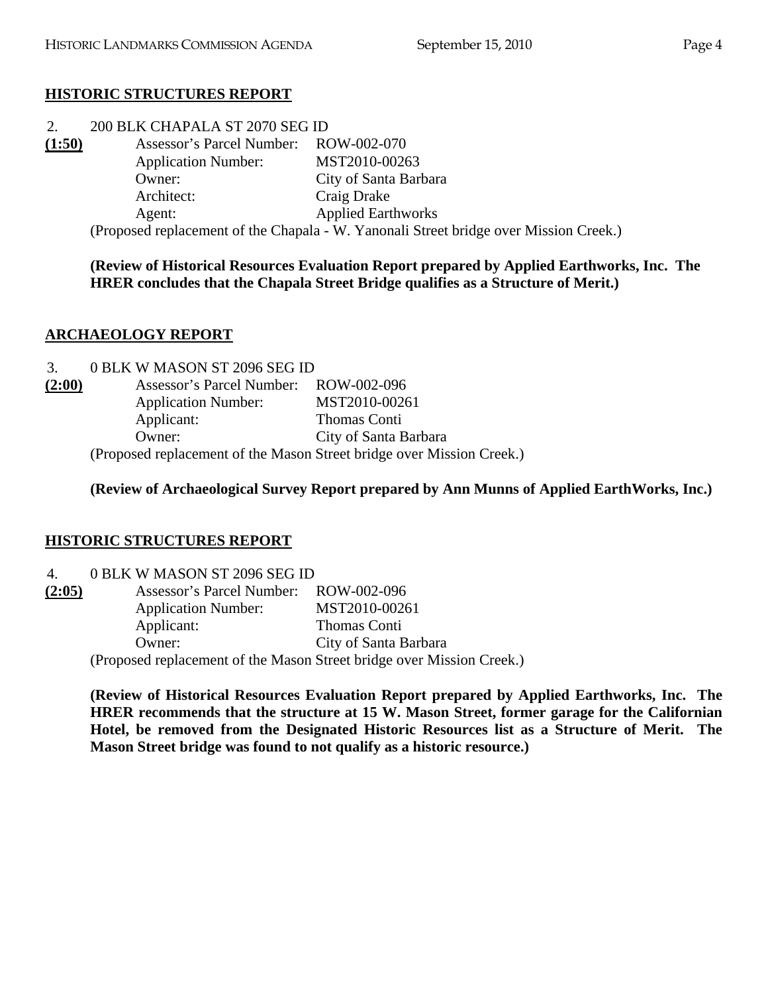# **HISTORIC STRUCTURES REPORT**

| 2.     | 200 BLK CHAPALA ST 2070 SEG ID        |                                                                                       |  |
|--------|---------------------------------------|---------------------------------------------------------------------------------------|--|
| (1:50) | Assessor's Parcel Number: ROW-002-070 |                                                                                       |  |
|        | <b>Application Number:</b>            | MST2010-00263                                                                         |  |
|        | Owner:                                | City of Santa Barbara                                                                 |  |
|        | Architect:                            | Craig Drake                                                                           |  |
|        | Agent:                                | <b>Applied Earthworks</b>                                                             |  |
|        |                                       | (Proposed replacement of the Chapala - W. Yanonali Street bridge over Mission Creek.) |  |

**(Review of Historical Resources Evaluation Report prepared by Applied Earthworks, Inc. The HRER concludes that the Chapala Street Bridge qualifies as a Structure of Merit.)** 

# **ARCHAEOLOGY REPORT**

| 3.     | 0 BLK W MASON ST 2096 SEG ID                                          |                       |
|--------|-----------------------------------------------------------------------|-----------------------|
| (2:00) | Assessor's Parcel Number: ROW-002-096                                 |                       |
|        | <b>Application Number:</b>                                            | MST2010-00261         |
|        | Applicant:                                                            | Thomas Conti          |
|        | Owner:                                                                | City of Santa Barbara |
|        | (Proposed replacement of the Mason Street bridge over Mission Creek.) |                       |

**(Review of Archaeological Survey Report prepared by Ann Munns of Applied EarthWorks, Inc.)** 

# **HISTORIC STRUCTURES REPORT**

| $\overline{4}$ . | 0 BLK W MASON ST 2096 SEG ID |
|------------------|------------------------------|
|------------------|------------------------------|

| (2:05) | Assessor's Parcel Number:  | ROW-002-096                                                           |
|--------|----------------------------|-----------------------------------------------------------------------|
|        | <b>Application Number:</b> | MST2010-00261                                                         |
|        | Applicant:                 | Thomas Conti                                                          |
|        | Owner:                     | City of Santa Barbara                                                 |
|        |                            | (Proposed replacement of the Mason Street bridge over Mission Creek.) |

**(Review of Historical Resources Evaluation Report prepared by Applied Earthworks, Inc. The HRER recommends that the structure at 15 W. Mason Street, former garage for the Californian Hotel, be removed from the Designated Historic Resources list as a Structure of Merit. The Mason Street bridge was found to not qualify as a historic resource.)**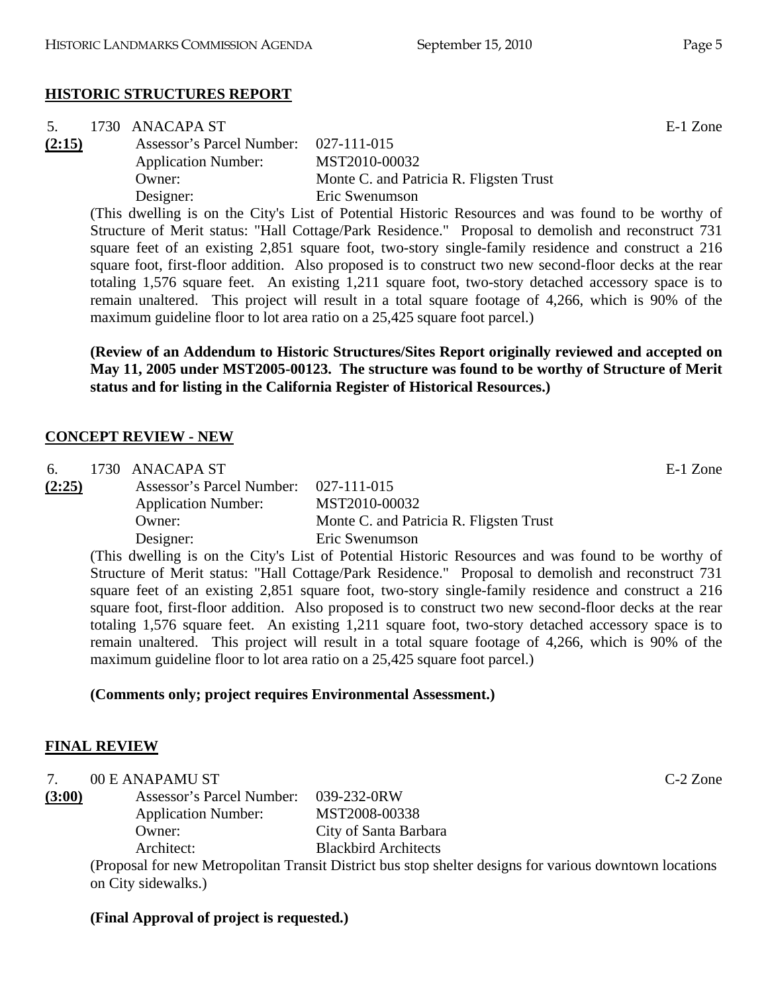| 5.     | 1730 ANACAPA ST                       |                                                                                                     | E-1 Zone |
|--------|---------------------------------------|-----------------------------------------------------------------------------------------------------|----------|
| (2:15) | Assessor's Parcel Number: 027-111-015 |                                                                                                     |          |
|        | <b>Application Number:</b>            | MST2010-00032                                                                                       |          |
|        | Owner:                                | Monte C. and Patricia R. Fligsten Trust                                                             |          |
|        | Designer:                             | Eric Swenumson                                                                                      |          |
|        |                                       | (This ducelling is on the City's List of Detential Historic Deseuroes and was found to be worthy of |          |

(This dwelling is on the City's List of Potential Historic Resources and was found to be worthy of Structure of Merit status: "Hall Cottage/Park Residence." Proposal to demolish and reconstruct 731 square feet of an existing 2,851 square foot, two-story single-family residence and construct a 216 square foot, first-floor addition. Also proposed is to construct two new second-floor decks at the rear totaling 1,576 square feet. An existing 1,211 square foot, two-story detached accessory space is to remain unaltered. This project will result in a total square footage of 4,266, which is 90% of the maximum guideline floor to lot area ratio on a 25,425 square foot parcel.)

**(Review of an Addendum to Historic Structures/Sites Report originally reviewed and accepted on May 11, 2005 under MST2005-00123. The structure was found to be worthy of Structure of Merit status and for listing in the California Register of Historical Resources.)** 

#### **CONCEPT REVIEW - NEW**

| 6.     | 1730 ANACAPA ST                       |                                                                                                    | E-1 Zone |
|--------|---------------------------------------|----------------------------------------------------------------------------------------------------|----------|
| (2:25) | Assessor's Parcel Number: 027-111-015 |                                                                                                    |          |
|        | <b>Application Number:</b>            | MST2010-00032                                                                                      |          |
|        | Owner:                                | Monte C. and Patricia R. Fligsten Trust                                                            |          |
|        | Designer:                             | Eric Swenumson                                                                                     |          |
|        |                                       | (This dwelling is on the City's List of Potential Historic Resources and was found to be worthy of |          |

(This dwelling is on the City's List of Potential Historic Resources and was found to be worthy of Structure of Merit status: "Hall Cottage/Park Residence." Proposal to demolish and reconstruct 731 square feet of an existing 2,851 square foot, two-story single-family residence and construct a 216 square foot, first-floor addition. Also proposed is to construct two new second-floor decks at the rear totaling 1,576 square feet. An existing 1,211 square foot, two-story detached accessory space is to remain unaltered. This project will result in a total square footage of 4,266, which is 90% of the maximum guideline floor to lot area ratio on a 25,425 square foot parcel.)

### **(Comments only; project requires Environmental Assessment.)**

### **FINAL REVIEW**

| 00 E ANAPAMU ST | $C-2$ Zone |
|-----------------|------------|
|-----------------|------------|

**(3:00)** Assessor's Parcel Number: 039-232-0RW Application Number: MST2008-00338 Owner: City of Santa Barbara Architect: Blackbird Architects

(Proposal for new Metropolitan Transit District bus stop shelter designs for various downtown locations on City sidewalks.)

#### **(Final Approval of project is requested.)**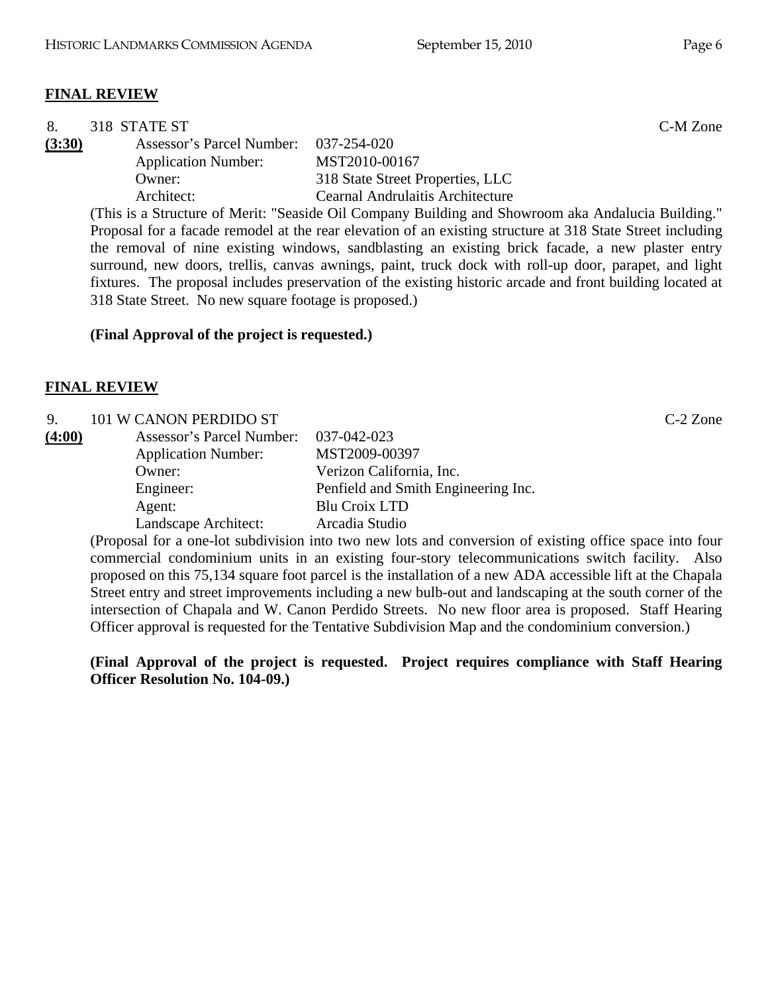# **FINAL REVIEW**

| 8.     | 318 STATE ST                                                                                               | C-M Zone                                                                                                   |  |
|--------|------------------------------------------------------------------------------------------------------------|------------------------------------------------------------------------------------------------------------|--|
| (3:30) | Assessor's Parcel Number:                                                                                  | 037-254-020                                                                                                |  |
|        | <b>Application Number:</b>                                                                                 | MST2010-00167                                                                                              |  |
|        | Owner:                                                                                                     | 318 State Street Properties, LLC                                                                           |  |
|        | Architect:                                                                                                 | <b>Cearnal Andrulaitis Architecture</b>                                                                    |  |
|        |                                                                                                            | (This is a Structure of Merit: "Seaside Oil Company Building and Showroom aka Andalucia Building."         |  |
|        | Proposal for a facade remodel at the rear elevation of an existing structure at 318 State Street including |                                                                                                            |  |
|        |                                                                                                            | the removal of nine existing windows, sandblasting an existing brick facade, a new plaster entry           |  |
|        |                                                                                                            | surround, new doors, trellis, canvas awnings, paint, truck dock with roll-up door, parapet, and light      |  |
|        |                                                                                                            | fixtures. The proposal includes preservation of the existing historic arcade and front building located at |  |
|        | 318 State Street. No new square footage is proposed.)                                                      |                                                                                                            |  |
|        |                                                                                                            |                                                                                                            |  |
|        | (Final Approval of the project is requested.)                                                              |                                                                                                            |  |

## **FINAL REVIEW**

| 9.     | 101 W CANON PERDIDO ST     |                                     | $C-2$ Zone |
|--------|----------------------------|-------------------------------------|------------|
| (4:00) | Assessor's Parcel Number:  | 037-042-023                         |            |
|        | <b>Application Number:</b> | MST2009-00397                       |            |
|        | Owner:                     | Verizon California, Inc.            |            |
|        | Engineer:                  | Penfield and Smith Engineering Inc. |            |
|        | Agent:                     | Blu Croix LTD                       |            |
|        | Landscape Architect:       | Arcadia Studio                      |            |

(Proposal for a one-lot subdivision into two new lots and conversion of existing office space into four commercial condominium units in an existing four-story telecommunications switch facility. Also proposed on this 75,134 square foot parcel is the installation of a new ADA accessible lift at the Chapala Street entry and street improvements including a new bulb-out and landscaping at the south corner of the intersection of Chapala and W. Canon Perdido Streets. No new floor area is proposed. Staff Hearing Officer approval is requested for the Tentative Subdivision Map and the condominium conversion.)

**(Final Approval of the project is requested. Project requires compliance with Staff Hearing Officer Resolution No. 104-09.)**